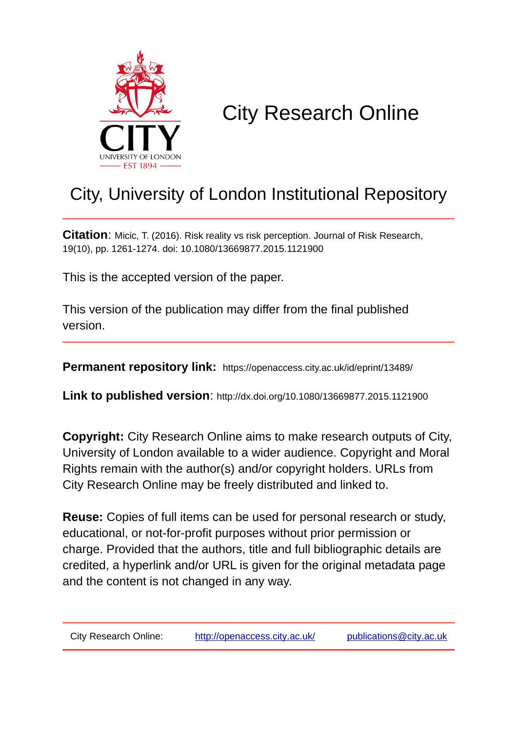

# City Research Online

# City, University of London Institutional Repository

**Citation**: Micic, T. (2016). Risk reality vs risk perception. Journal of Risk Research, 19(10), pp. 1261-1274. doi: 10.1080/13669877.2015.1121900

This is the accepted version of the paper.

This version of the publication may differ from the final published version.

**Permanent repository link:** https://openaccess.city.ac.uk/id/eprint/13489/

**Link to published version**: http://dx.doi.org/10.1080/13669877.2015.1121900

**Copyright:** City Research Online aims to make research outputs of City, University of London available to a wider audience. Copyright and Moral Rights remain with the author(s) and/or copyright holders. URLs from City Research Online may be freely distributed and linked to.

**Reuse:** Copies of full items can be used for personal research or study, educational, or not-for-profit purposes without prior permission or charge. Provided that the authors, title and full bibliographic details are credited, a hyperlink and/or URL is given for the original metadata page and the content is not changed in any way.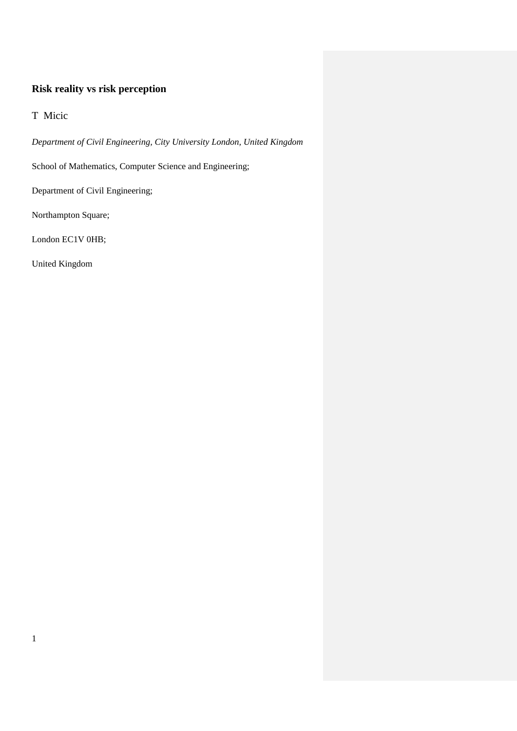## **Risk reality vs risk perception**

T Micic

*Department of Civil Engineering, City University London, United Kingdom*

School of Mathematics, Computer Science and Engineering;

Department of Civil Engineering;

Northampton Square;

London EC1V 0HB;

United Kingdom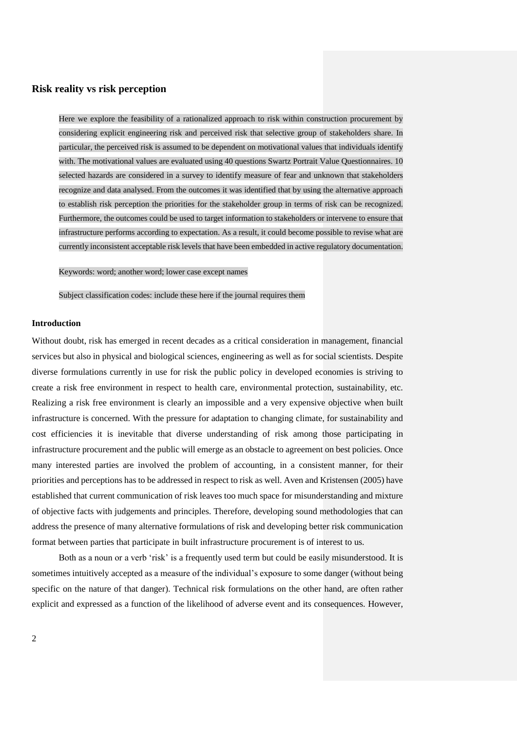#### **Risk reality vs risk perception**

Here we explore the feasibility of a rationalized approach to risk within construction procurement by considering explicit engineering risk and perceived risk that selective group of stakeholders share. In particular, the perceived risk is assumed to be dependent on motivational values that individuals identify with. The motivational values are evaluated using 40 questions Swartz Portrait Value Questionnaires. 10 selected hazards are considered in a survey to identify measure of fear and unknown that stakeholders recognize and data analysed. From the outcomes it was identified that by using the alternative approach to establish risk perception the priorities for the stakeholder group in terms of risk can be recognized. Furthermore, the outcomes could be used to target information to stakeholders or intervene to ensure that infrastructure performs according to expectation. As a result, it could become possible to revise what are currently inconsistent acceptable risk levels that have been embedded in active regulatory documentation.

Keywords: word; another word; lower case except names

Subject classification codes: include these here if the journal requires them

#### **Introduction**

Without doubt, risk has emerged in recent decades as a critical consideration in management, financial services but also in physical and biological sciences, engineering as well as for social scientists. Despite diverse formulations currently in use for risk the public policy in developed economies is striving to create a risk free environment in respect to health care, environmental protection, sustainability, etc. Realizing a risk free environment is clearly an impossible and a very expensive objective when built infrastructure is concerned. With the pressure for adaptation to changing climate, for sustainability and cost efficiencies it is inevitable that diverse understanding of risk among those participating in infrastructure procurement and the public will emerge as an obstacle to agreement on best policies. Once many interested parties are involved the problem of accounting, in a consistent manner, for their priorities and perceptions has to be addressed in respect to risk as well. Aven and Kristensen (2005) have established that current communication of risk leaves too much space for misunderstanding and mixture of objective facts with judgements and principles. Therefore, developing sound methodologies that can address the presence of many alternative formulations of risk and developing better risk communication format between parties that participate in built infrastructure procurement is of interest to us.

Both as a noun or a verb 'risk' is a frequently used term but could be easily misunderstood. It is sometimes intuitively accepted as a measure of the individual's exposure to some danger (without being specific on the nature of that danger). Technical risk formulations on the other hand, are often rather explicit and expressed as a function of the likelihood of adverse event and its consequences. However,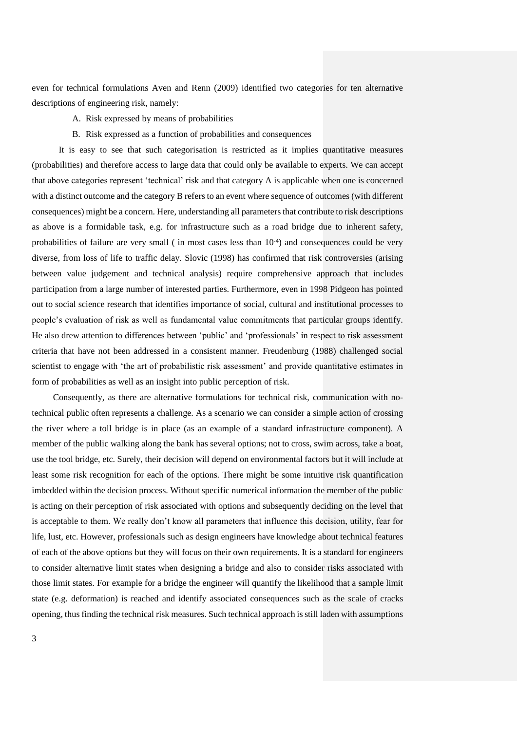even for technical formulations Aven and Renn (2009) identified two categories for ten alternative descriptions of engineering risk, namely:

- A. Risk expressed by means of probabilities
- B. Risk expressed as a function of probabilities and consequences

It is easy to see that such categorisation is restricted as it implies quantitative measures (probabilities) and therefore access to large data that could only be available to experts. We can accept that above categories represent 'technical' risk and that category A is applicable when one is concerned with a distinct outcome and the category B refers to an event where sequence of outcomes (with different consequences) might be a concern. Here, understanding all parameters that contribute to risk descriptions as above is a formidable task, e.g. for infrastructure such as a road bridge due to inherent safety, probabilities of failure are very small (in most cases less than  $10^{-4}$ ) and consequences could be very diverse, from loss of life to traffic delay. Slovic (1998) has confirmed that risk controversies (arising between value judgement and technical analysis) require comprehensive approach that includes participation from a large number of interested parties. Furthermore, even in 1998 Pidgeon has pointed out to social science research that identifies importance of social, cultural and institutional processes to people's evaluation of risk as well as fundamental value commitments that particular groups identify. He also drew attention to differences between 'public' and 'professionals' in respect to risk assessment criteria that have not been addressed in a consistent manner. Freudenburg (1988) challenged social scientist to engage with 'the art of probabilistic risk assessment' and provide quantitative estimates in form of probabilities as well as an insight into public perception of risk.

Consequently, as there are alternative formulations for technical risk, communication with notechnical public often represents a challenge. As a scenario we can consider a simple action of crossing the river where a toll bridge is in place (as an example of a standard infrastructure component). A member of the public walking along the bank has several options; not to cross, swim across, take a boat, use the tool bridge, etc. Surely, their decision will depend on environmental factors but it will include at least some risk recognition for each of the options. There might be some intuitive risk quantification imbedded within the decision process. Without specific numerical information the member of the public is acting on their perception of risk associated with options and subsequently deciding on the level that is acceptable to them. We really don't know all parameters that influence this decision, utility, fear for life, lust, etc. However, professionals such as design engineers have knowledge about technical features of each of the above options but they will focus on their own requirements. It is a standard for engineers to consider alternative limit states when designing a bridge and also to consider risks associated with those limit states. For example for a bridge the engineer will quantify the likelihood that a sample limit state (e.g. deformation) is reached and identify associated consequences such as the scale of cracks opening, thus finding the technical risk measures. Such technical approach is still laden with assumptions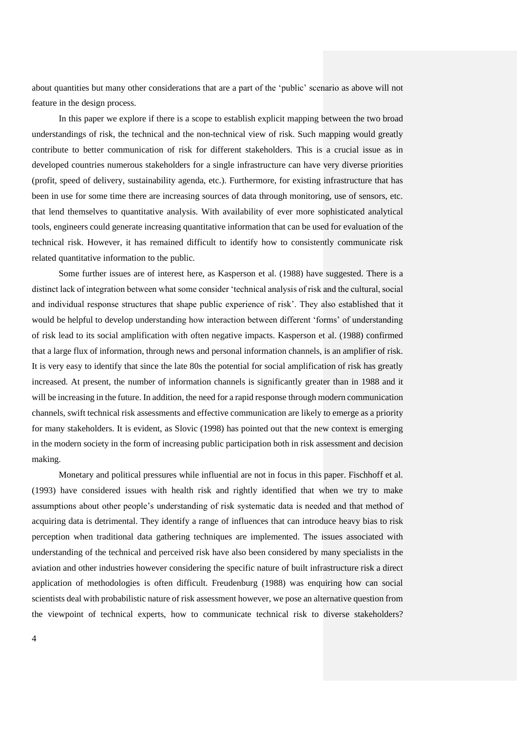about quantities but many other considerations that are a part of the 'public' scenario as above will not feature in the design process.

In this paper we explore if there is a scope to establish explicit mapping between the two broad understandings of risk, the technical and the non-technical view of risk. Such mapping would greatly contribute to better communication of risk for different stakeholders. This is a crucial issue as in developed countries numerous stakeholders for a single infrastructure can have very diverse priorities (profit, speed of delivery, sustainability agenda, etc.). Furthermore, for existing infrastructure that has been in use for some time there are increasing sources of data through monitoring, use of sensors, etc. that lend themselves to quantitative analysis. With availability of ever more sophisticated analytical tools, engineers could generate increasing quantitative information that can be used for evaluation of the technical risk. However, it has remained difficult to identify how to consistently communicate risk related quantitative information to the public.

Some further issues are of interest here, as Kasperson et al. (1988) have suggested. There is a distinct lack of integration between what some consider 'technical analysis of risk and the cultural, social and individual response structures that shape public experience of risk'. They also established that it would be helpful to develop understanding how interaction between different 'forms' of understanding of risk lead to its social amplification with often negative impacts. Kasperson et al. (1988) confirmed that a large flux of information, through news and personal information channels, is an amplifier of risk. It is very easy to identify that since the late 80s the potential for social amplification of risk has greatly increased. At present, the number of information channels is significantly greater than in 1988 and it will be increasing in the future. In addition, the need for a rapid response through modern communication channels, swift technical risk assessments and effective communication are likely to emerge as a priority for many stakeholders. It is evident, as Slovic (1998) has pointed out that the new context is emerging in the modern society in the form of increasing public participation both in risk assessment and decision making.

Monetary and political pressures while influential are not in focus in this paper. Fischhoff et al. (1993) have considered issues with health risk and rightly identified that when we try to make assumptions about other people's understanding of risk systematic data is needed and that method of acquiring data is detrimental. They identify a range of influences that can introduce heavy bias to risk perception when traditional data gathering techniques are implemented. The issues associated with understanding of the technical and perceived risk have also been considered by many specialists in the aviation and other industries however considering the specific nature of built infrastructure risk a direct application of methodologies is often difficult. Freudenburg (1988) was enquiring how can social scientists deal with probabilistic nature of risk assessment however, we pose an alternative question from the viewpoint of technical experts, how to communicate technical risk to diverse stakeholders?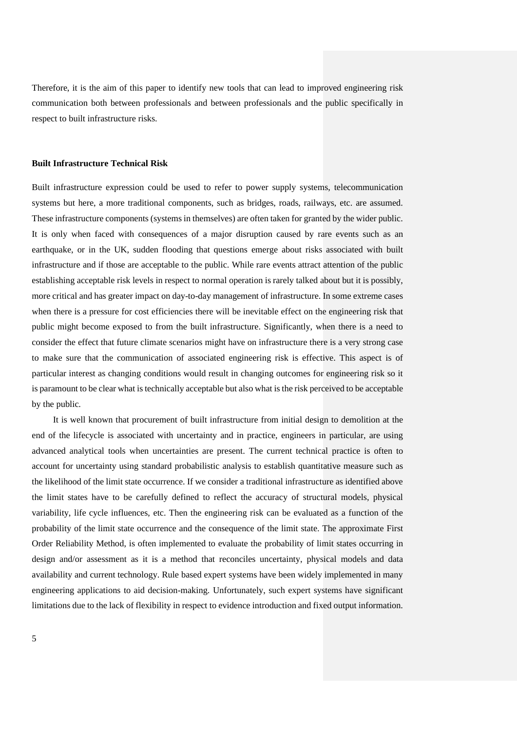Therefore, it is the aim of this paper to identify new tools that can lead to improved engineering risk communication both between professionals and between professionals and the public specifically in respect to built infrastructure risks.

#### **Built Infrastructure Technical Risk**

Built infrastructure expression could be used to refer to power supply systems, telecommunication systems but here, a more traditional components, such as bridges, roads, railways, etc. are assumed. These infrastructure components (systems in themselves) are often taken for granted by the wider public. It is only when faced with consequences of a major disruption caused by rare events such as an earthquake, or in the UK, sudden flooding that questions emerge about risks associated with built infrastructure and if those are acceptable to the public. While rare events attract attention of the public establishing acceptable risk levels in respect to normal operation is rarely talked about but it is possibly, more critical and has greater impact on day-to-day management of infrastructure. In some extreme cases when there is a pressure for cost efficiencies there will be inevitable effect on the engineering risk that public might become exposed to from the built infrastructure. Significantly, when there is a need to consider the effect that future climate scenarios might have on infrastructure there is a very strong case to make sure that the communication of associated engineering risk is effective. This aspect is of particular interest as changing conditions would result in changing outcomes for engineering risk so it is paramount to be clear what is technically acceptable but also what is the risk perceived to be acceptable by the public.

It is well known that procurement of built infrastructure from initial design to demolition at the end of the lifecycle is associated with uncertainty and in practice, engineers in particular, are using advanced analytical tools when uncertainties are present. The current technical practice is often to account for uncertainty using standard probabilistic analysis to establish quantitative measure such as the likelihood of the limit state occurrence. If we consider a traditional infrastructure as identified above the limit states have to be carefully defined to reflect the accuracy of structural models, physical variability, life cycle influences, etc. Then the engineering risk can be evaluated as a function of the probability of the limit state occurrence and the consequence of the limit state. The approximate First Order Reliability Method, is often implemented to evaluate the probability of limit states occurring in design and/or assessment as it is a method that reconciles uncertainty, physical models and data availability and current technology. Rule based expert systems have been widely implemented in many engineering applications to aid decision-making. Unfortunately, such expert systems have significant limitations due to the lack of flexibility in respect to evidence introduction and fixed output information.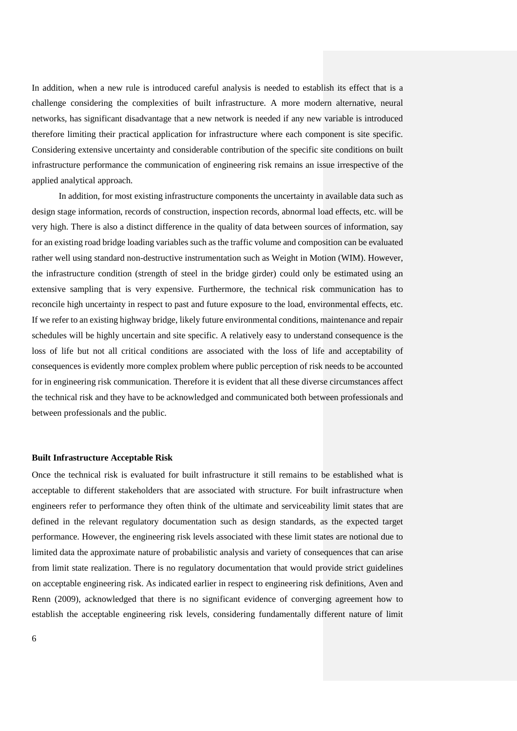In addition, when a new rule is introduced careful analysis is needed to establish its effect that is a challenge considering the complexities of built infrastructure. A more modern alternative, neural networks, has significant disadvantage that a new network is needed if any new variable is introduced therefore limiting their practical application for infrastructure where each component is site specific. Considering extensive uncertainty and considerable contribution of the specific site conditions on built infrastructure performance the communication of engineering risk remains an issue irrespective of the applied analytical approach.

In addition, for most existing infrastructure components the uncertainty in available data such as design stage information, records of construction, inspection records, abnormal load effects, etc. will be very high. There is also a distinct difference in the quality of data between sources of information, say for an existing road bridge loading variables such as the traffic volume and composition can be evaluated rather well using standard non-destructive instrumentation such as Weight in Motion (WIM). However, the infrastructure condition (strength of steel in the bridge girder) could only be estimated using an extensive sampling that is very expensive. Furthermore, the technical risk communication has to reconcile high uncertainty in respect to past and future exposure to the load, environmental effects, etc. If we refer to an existing highway bridge, likely future environmental conditions, maintenance and repair schedules will be highly uncertain and site specific. A relatively easy to understand consequence is the loss of life but not all critical conditions are associated with the loss of life and acceptability of consequences is evidently more complex problem where public perception of risk needs to be accounted for in engineering risk communication. Therefore it is evident that all these diverse circumstances affect the technical risk and they have to be acknowledged and communicated both between professionals and between professionals and the public.

#### **Built Infrastructure Acceptable Risk**

Once the technical risk is evaluated for built infrastructure it still remains to be established what is acceptable to different stakeholders that are associated with structure. For built infrastructure when engineers refer to performance they often think of the ultimate and serviceability limit states that are defined in the relevant regulatory documentation such as design standards, as the expected target performance. However, the engineering risk levels associated with these limit states are notional due to limited data the approximate nature of probabilistic analysis and variety of consequences that can arise from limit state realization. There is no regulatory documentation that would provide strict guidelines on acceptable engineering risk. As indicated earlier in respect to engineering risk definitions, Aven and Renn (2009), acknowledged that there is no significant evidence of converging agreement how to establish the acceptable engineering risk levels, considering fundamentally different nature of limit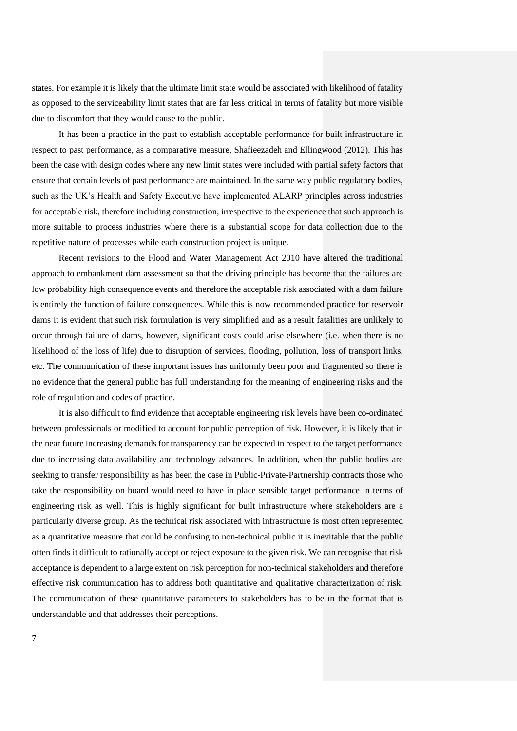states. For example it is likely that the ultimate limit state would be associated with likelihood of fatality as opposed to the serviceability limit states that are far less critical in terms of fatality but more visible due to discomfort that they would cause to the public.

It has been a practice in the past to establish acceptable performance for built infrastructure in respect to past performance, as a comparative measure, Shafieezadeh and Ellingwood (2012). This has been the case with design codes where any new limit states were included with partial safety factors that ensure that certain levels of past performance are maintained. In the same way public regulatory bodies, such as the UK's Health and Safety Executive have implemented ALARP principles across industries for acceptable risk, therefore including construction, irrespective to the experience that such approach is more suitable to process industries where there is a substantial scope for data collection due to the repetitive nature of processes while each construction project is unique.

Recent revisions to the Flood and Water Management Act 2010 have altered the traditional approach to embankment dam assessment so that the driving principle has become that the failures are low probability high consequence events and therefore the acceptable risk associated with a dam failure is entirely the function of failure consequences. While this is now recommended practice for reservoir dams it is evident that such risk formulation is very simplified and as a result fatalities are unlikely to occur through failure of dams, however, significant costs could arise elsewhere (i.e. when there is no likelihood of the loss of life) due to disruption of services, flooding, pollution, loss of transport links, etc. The communication of these important issues has uniformly been poor and fragmented so there is no evidence that the general public has full understanding for the meaning of engineering risks and the role of regulation and codes of practice.

It is also difficult to find evidence that acceptable engineering risk levels have been co-ordinated between professionals or modified to account for public perception of risk. However, it is likely that in the near future increasing demands for transparency can be expected in respect to the target performance due to increasing data availability and technology advances. In addition, when the public bodies are seeking to transfer responsibility as has been the case in Public-Private-Partnership contracts those who take the responsibility on board would need to have in place sensible target performance in terms of engineering risk as well. This is highly significant for built infrastructure where stakeholders are a particularly diverse group. As the technical risk associated with infrastructure is most often represented as a quantitative measure that could be confusing to non-technical public it is inevitable that the public often finds it difficult to rationally accept or reject exposure to the given risk. We can recognise that risk acceptance is dependent to a large extent on risk perception for non-technical stakeholders and therefore effective risk communication has to address both quantitative and qualitative characterization of risk. The communication of these quantitative parameters to stakeholders has to be in the format that is understandable and that addresses their perceptions.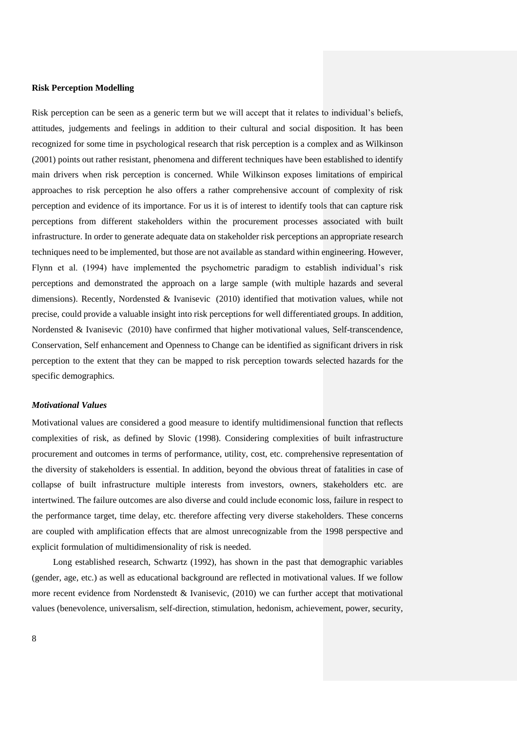#### **Risk Perception Modelling**

Risk perception can be seen as a generic term but we will accept that it relates to individual's beliefs, attitudes, judgements and feelings in addition to their cultural and social disposition. It has been recognized for some time in psychological research that risk perception is a complex and as Wilkinson (2001) points out rather resistant, phenomena and different techniques have been established to identify main drivers when risk perception is concerned. While Wilkinson exposes limitations of empirical approaches to risk perception he also offers a rather comprehensive account of complexity of risk perception and evidence of its importance. For us it is of interest to identify tools that can capture risk perceptions from different stakeholders within the procurement processes associated with built infrastructure. In order to generate adequate data on stakeholder risk perceptions an appropriate research techniques need to be implemented, but those are not available as standard within engineering. However, Flynn et al. (1994) have implemented the psychometric paradigm to establish individual's risk perceptions and demonstrated the approach on a large sample (with multiple hazards and several dimensions). Recently, Nordensted & Ivanisevic (2010) identified that motivation values, while not precise, could provide a valuable insight into risk perceptions for well differentiated groups. In addition, Nordensted & Ivanisevic (2010) have confirmed that higher motivational values, Self-transcendence, Conservation, Self enhancement and Openness to Change can be identified as significant drivers in risk perception to the extent that they can be mapped to risk perception towards selected hazards for the specific demographics.

#### *Motivational Values*

Motivational values are considered a good measure to identify multidimensional function that reflects complexities of risk, as defined by Slovic (1998). Considering complexities of built infrastructure procurement and outcomes in terms of performance, utility, cost, etc. comprehensive representation of the diversity of stakeholders is essential. In addition, beyond the obvious threat of fatalities in case of collapse of built infrastructure multiple interests from investors, owners, stakeholders etc. are intertwined. The failure outcomes are also diverse and could include economic loss, failure in respect to the performance target, time delay, etc. therefore affecting very diverse stakeholders. These concerns are coupled with amplification effects that are almost unrecognizable from the 1998 perspective and explicit formulation of multidimensionality of risk is needed.

Long established research, Schwartz (1992), has shown in the past that demographic variables (gender, age, etc.) as well as educational background are reflected in motivational values. If we follow more recent evidence from Nordenstedt & Ivanisevic,  $(2010)$  we can further accept that motivational values (benevolence, universalism, self-direction, stimulation, hedonism, achievement, power, security,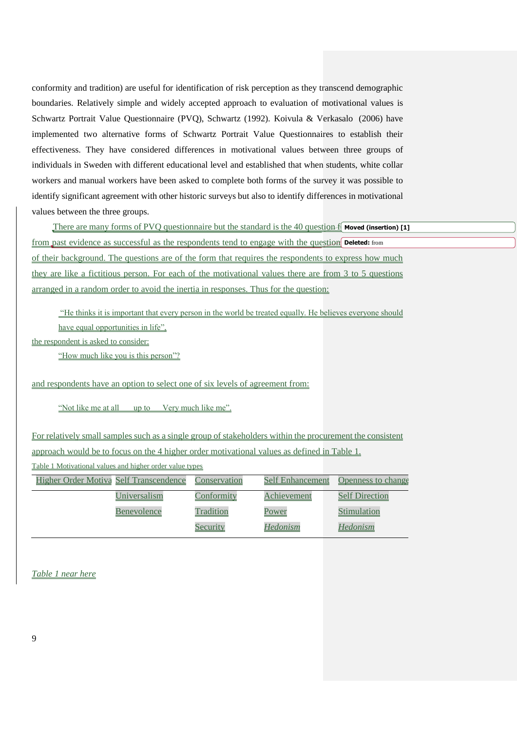conformity and tradition) are useful for identification of risk perception as they transcend demographic boundaries. Relatively simple and widely accepted approach to evaluation of motivational values is Schwartz Portrait Value Questionnaire (PVQ), Schwartz (1992). Koivula & Verkasalo (2006) have implemented two alternative forms of Schwartz Portrait Value Questionnaires to establish their effectiveness. They have considered differences in motivational values between three groups of individuals in Sweden with different educational level and established that when students, white collar workers and manual workers have been asked to complete both forms of the survey it was possible to identify significant agreement with other historic surveys but also to identify differences in motivational values between the three groups.

**There are many forms of PVQ questionnaire but the standard is the 40 question f <b>Moved (insertion)** [1] <u>from past evidence as successful as the respondents tend to engage with the question</u> **Deleted:** from of their background. The questions are of the form that requires the respondents to express how much they are like a fictitious person. For each of the motivational values there are from 3 to 5 questions arranged in a random order to avoid the inertia in responses. Thus for the question:

"He thinks it is important that every person in the world be treated equally. He believes everyone should

have equal opportunities in life",

the respondent is asked to consider:

"How much like you is this person"?

and respondents have an option to select one of six levels of agreement from:

"Not like me at all up to Very much like me".

For relatively small samples such as a single group of stakeholders within the procurement the consistent approach would be to focus on the 4 higher order motivational values as defined in Table 1. Table 1 Motivational values and higher order value types

| <b>Higher Order Motiva Self Transcendence</b> | Conservation    | <b>Self Enhancement</b> | <b>Openness to change</b> |
|-----------------------------------------------|-----------------|-------------------------|---------------------------|
| Universalism                                  | Conformity      | Achievement             | <b>Self Direction</b>     |
| Benevolence                                   | Tradition       | <u>Power</u>            | Stimulation               |
|                                               | <b>Security</b> | Hedonism                | Hedonism                  |

*Table 1 near here*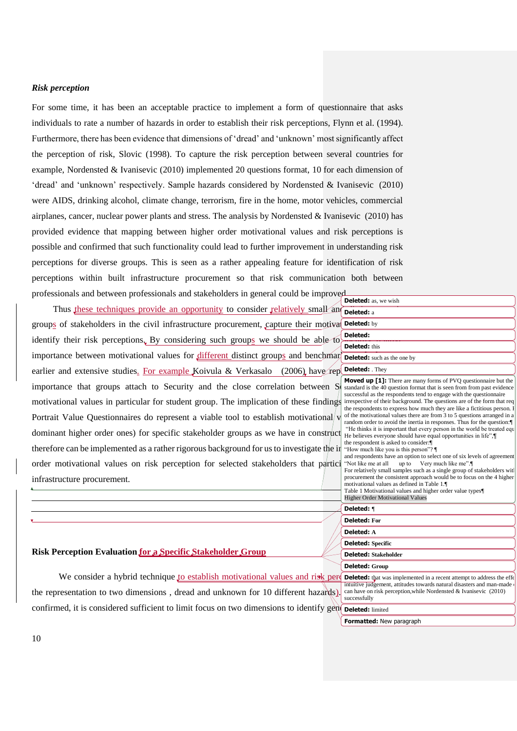#### *Risk perception*

For some time, it has been an acceptable practice to implement a form of questionnaire that asks individuals to rate a number of hazards in order to establish their risk perceptions, Flynn et al. (1994). Furthermore, there has been evidence that dimensions of 'dread' and 'unknown' most significantly affect the perception of risk, Slovic (1998). To capture the risk perception between several countries for example, Nordensted & Ivanisevic (2010) implemented 20 questions format, 10 for each dimension of 'dread' and 'unknown' respectively. Sample hazards considered by Nordensted & Ivanisevic (2010) were AIDS, drinking alcohol, climate change, terrorism, fire in the home, motor vehicles, commercial airplanes, cancer, nuclear power plants and stress. The analysis by Nordensted & Ivanisevic  $(2010)$  has provided evidence that mapping between higher order motivational values and risk perceptions is possible and confirmed that such functionality could lead to further improvement in understanding risk perceptions for diverse groups. This is seen as a rather appealing feature for identification of risk perceptions within built infrastructure procurement so that risk communication both between professionals and between professionals and stakeholders in general could be improved.

Thus these techniques provide an opportunity to consider relatively small a groups of stakeholders in the civil infrastructure procurement, capture their motiv identify their risk perceptions. By considering such groups we should be able  $\tau$ importance between motivational values for different distinct groups and benchma earlier and extensive studies. For example Koivula & Verkasalo (2006) have reported on  $\frac{1}{2}$ importance that groups attach to Security and the close correlation between motivational values in particular for student group. The implication of these finding Portrait Value Questionnaires do represent a viable tool to establish motivational dominant higher order ones) for specific stakeholder groups as we have in construction therefore can be implemented as a rather rigorous background for us to investigate the order motivational values on risk perception for selected stakeholders that partiinfrastructure procurement.

#### Higher Order Motivational Values

#### **Deleted:** *¶*

#### **Deleted: For**

**Deleted: A** 

**Deleted: Specific** 

**Deleted: Stakeholder** 

### **Deleted: Group**

**Deleted:** that was implemented in a recent attempt to address the effe intuitive judgement, attitudes towards natural disasters and man-made can have on risk perception,while Nordensted & Ivanisevic (2010) successfully

**Formatted:** New paragraph

#### **Risk Perception Evaluation for a Specific Stakeholder Group**

We consider a hybrid technique to establish motivational values and risk per the representation to two dimensions, dread and unknown for 10 different hazards). confirmed, it is considered sufficient to limit focus on two dimensions to identify general: limited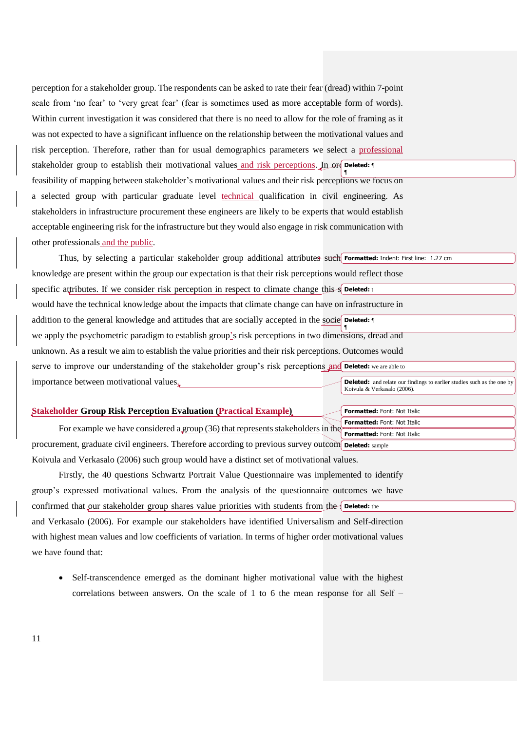perception for a stakeholder group. The respondents can be asked to rate their fear (dread) within 7-point scale from 'no fear' to 'very great fear' (fear is sometimes used as more acceptable form of words). Within current investigation it was considered that there is no need to allow for the role of framing as it was not expected to have a significant influence on the relationship between the motivational values and risk perception. Therefore, rather than for usual demographics parameters we select a professional stakeholder group to establish their motivational values and risk perceptions. In order peted: **1** feasibility of mapping between stakeholder's motivational values and their risk perceptions we focus on a selected group with particular graduate level technical qualification in civil engineering. As stakeholders in infrastructure procurement these engineers are likely to be experts that would establish acceptable engineering risk for the infrastructure but they would also engage in risk communication with other professionals and the public. ¶

Thus, by selecting a particular stakeholder group additional attributes such **Formatted:** Indent: First line: 1.27 cm knowledge are present within the group our expectation is that their risk perceptions would reflect those specific attributes. If we consider risk perception in respect to climate change this s<br> would have the technical knowledge about the impacts that climate change can have on infrastructure in addition to the general knowledge and attitudes that are socially accepted in the socie **Deleted: f** we apply the psychometric paradigm to establish group's risk perceptions in two dimensions, dread and unknown. As a result we aim to establish the value priorities and their risk perceptions. Outcomes would serve to improve our understanding of the stakeholder group's risk perceptions and **Deleted:** we are able to importance between motivational values. ¶

#### **Stakeholder Group Risk Perception Evaluation (Practical Example)**

**Formatted:** Font: Not Italic<br>For example we have considered a group (36) that represents stakeholders in the **Formatted:** Font: Not Italic procurement, graduate civil engineers. Therefore according to previous survey outcomes **Deleted:** sample Koivula and Verkasalo (2006) such group would have a distinct set of motivational values.

Firstly, the 40 questions Schwartz Portrait Value Questionnaire was implemented to identify group's expressed motivational values. From the analysis of the questionnaire outcomes we have confirmed that our stakeholder group shares value priorities with students from the **Deleted:** the and Verkasalo (2006). For example our stakeholders have identified Universalism and Self-direction with highest mean values and low coefficients of variation. In terms of higher order motivational values we have found that:

 Self-transcendence emerged as the dominant higher motivational value with the highest correlations between answers. On the scale of 1 to 6 the mean response for all Self –

**Deleted:** and relate our findings to earlier studies such as the one by Koivula & Verkasalo (2006).

**Formatted:** Font: Not Italic **Formatted:** Font: Not Italic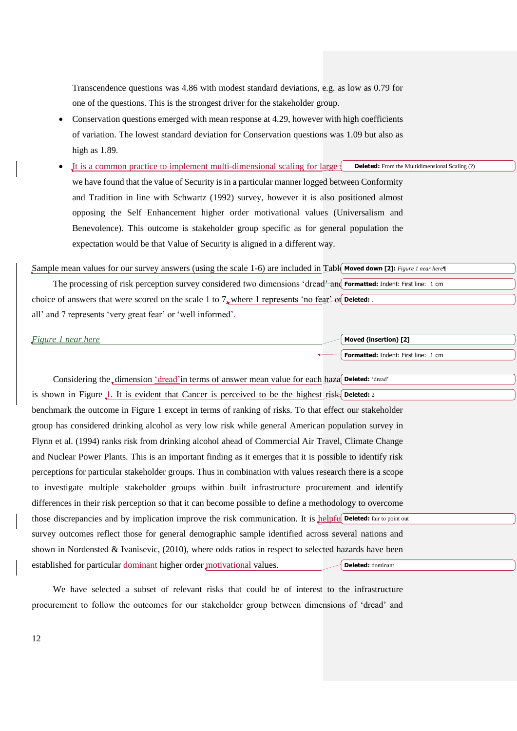Transcendence questions was 4.86 with modest standard deviations, e.g. as low as 0.79 for one of the questions. This is the strongest driver for the stakeholder group.

- Conservation questions emerged with mean response at 4.29, however with high coefficients of variation. The lowest standard deviation for Conservation questions was 1.09 but also as high as 1.89.
- It is a common practice to implement multi-dimensional scaling for large we have found that the value of Security is in a particular manner logged between Conformity and Tradition in line with Schwartz (1992) survey, however it is also positioned almost opposing the Self Enhancement higher order motivational values (Universalism and Benevolence). This outcome is stakeholder group specific as for general population the expectation would be that Value of Security is aligned in a different way. **Deleted:** From the Multidimensional Scaling (?)

Sample mean values for our survey answers (using the scale 1-6) are included in Tabl( **Moved down [2]:** *Figure 1 near here* 

The processing of risk perception survey considered two dimensions 'dread' and Formatted: Indent: First line: 1 cm choice of answers that were scored on the scale 1 to  $7<sub>*</sub>$  where 1 represents 'no fear' or **Deleted:** all' and 7 represents 'very great fear' or 'well informed'.

| Figure 1 near here | Moved (insertion) [2]                      |
|--------------------|--------------------------------------------|
|                    | <b>Formatted:</b> Indent: First line: 1 cm |

Considering the dimension 'dread' in terms of answer mean value for each haza **Deleted:** 'dread' is shown in Figure 1. It is evident that Cancer is perceived to be the highest risk. Deleted: 2 benchmark the outcome in Figure 1 except in terms of ranking of risks. To that effect our stakeholder group has considered drinking alcohol as very low risk while general American population survey in Flynn et al. (1994) ranks risk from drinking alcohol ahead of Commercial Air Travel, Climate Change and Nuclear Power Plants. This is an important finding as it emerges that it is possible to identify risk perceptions for particular stakeholder groups. Thus in combination with values research there is a scope to investigate multiple stakeholder groups within built infrastructure procurement and identify differences in their risk perception so that it can become possible to define a methodology to overcome those discrepancies and by implication improve the risk communication. It is **helpful Deleted:** fair to point out survey outcomes reflect those for general demographic sample identified across several nations and shown in Nordensted & Ivanisevic, (2010), where odds ratios in respect to selected hazards have been established for particular dominant higher order motivational values. **Deleted:** dominant

We have selected a subset of relevant risks that could be of interest to the infrastructure procurement to follow the outcomes for our stakeholder group between dimensions of 'dread' and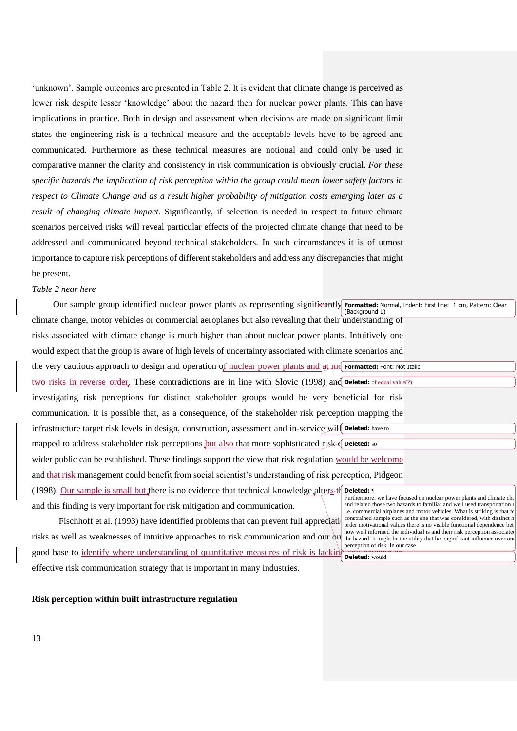'unknown'. Sample outcomes are presented in Table 2. It is evident that climate change is perceived as lower risk despite lesser 'knowledge' about the hazard then for nuclear power plants. This can have implications in practice. Both in design and assessment when decisions are made on significant limit states the engineering risk is a technical measure and the acceptable levels have to be agreed and communicated. Furthermore as these technical measures are notional and could only be used in comparative manner the clarity and consistency in risk communication is obviously crucial. *For these specific hazards the implication of risk perception within the group could mean lower safety factors in respect to Climate Change and as a result higher probability of mitigation costs emerging later as a result of changing climate impact.* Significantly, if selection is needed in respect to future climate scenarios perceived risks will reveal particular effects of the projected climate change that need to be addressed and communicated beyond technical stakeholders. In such circumstances it is of utmost importance to capture risk perceptions of different stakeholders and address any discrepancies that might be present.

#### *Table 2 near here*

| Our sample group identified nuclear power plants as representing significantly Formatted: Normal, Indent: First line: 1 cm, Pattern: Clear                                                                                                                                                                    |
|---------------------------------------------------------------------------------------------------------------------------------------------------------------------------------------------------------------------------------------------------------------------------------------------------------------|
| (Background 1)<br>climate change, motor vehicles or commercial aeroplanes but also revealing that their understanding of                                                                                                                                                                                      |
|                                                                                                                                                                                                                                                                                                               |
| risks associated with climate change is much higher than about nuclear power plants. Intuitively one                                                                                                                                                                                                          |
| would expect that the group is aware of high levels of uncertainty associated with climate scenarios and                                                                                                                                                                                                      |
| the very cautious approach to design and operation of nuclear power plants and at me Formatted: Font: Not Italic                                                                                                                                                                                              |
| two risks in reverse order. These contradictions are in line with Slovic (1998) and Deleted: of equal value(?)                                                                                                                                                                                                |
| investigating risk perceptions for distinct stakeholder groups would be very beneficial for risk                                                                                                                                                                                                              |
| communication. It is possible that, as a consequence, of the stakeholder risk perception mapping the                                                                                                                                                                                                          |
| infrastructure target risk levels in design, construction, assessment and in-service will <b>Deleted:</b> have to                                                                                                                                                                                             |
| mapped to address stakeholder risk perceptions but also that more sophisticated risk-d <b>Deleted:</b> so                                                                                                                                                                                                     |
| wider public can be established. These findings support the view that risk regulation would be welcome                                                                                                                                                                                                        |
| and that risk management could benefit from social scientist's understanding of risk perception, Pidgeon                                                                                                                                                                                                      |
| (1998). Our sample is small but there is no evidence that technical knowledge alters $t$ <b>Deleted:</b>                                                                                                                                                                                                      |
| Furthermore, we have focused on nuclear power plants and climate cha<br>and related those two hazards to familiar and well used transportation $r$<br>and this finding is very important for risk mitigation and communication.<br>i.e. commercial airplanes and motor vehicles. What is striking is that for |
| constrained sample such as the one that was considered, with distinct h<br>Eighboff et al. (1002) have identified nuchlame that can nuove full enough til                                                                                                                                                     |

Fischhoff et al. (1993) have identified problems that can prevent full appreciation risks as well as weaknesses of intuitive approaches to risk communication and our  $\alpha$  how well informed the individual is and their risk perception associated and their risk perception associated good base to identify where understanding of quantitative measures of risk is lacking effective risk communication strategy that is important in many industries. order motivational values there is no visible functional dependence bet perception of risk. In our case **Deleted:** would

#### **Risk perception within built infrastructure regulation**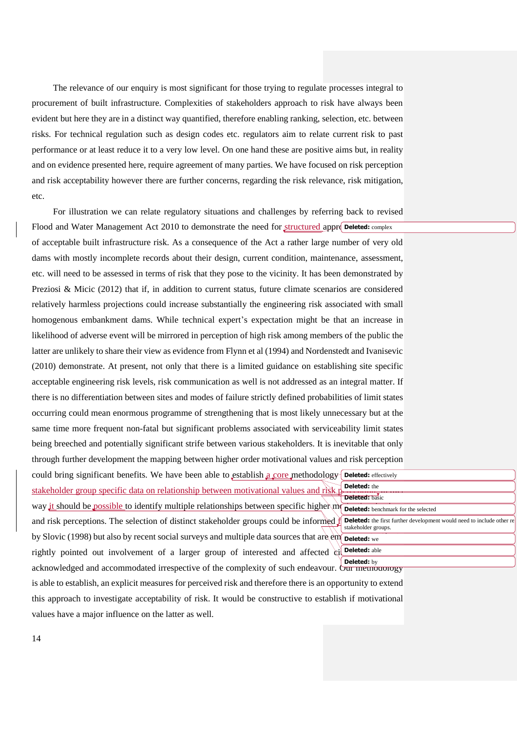The relevance of our enquiry is most significant for those trying to regulate processes integral to procurement of built infrastructure. Complexities of stakeholders approach to risk have always been evident but here they are in a distinct way quantified, therefore enabling ranking, selection, etc. between risks. For technical regulation such as design codes etc. regulators aim to relate current risk to past performance or at least reduce it to a very low level. On one hand these are positive aims but, in reality and on evidence presented here, require agreement of many parties. We have focused on risk perception and risk acceptability however there are further concerns, regarding the risk relevance, risk mitigation, etc.

For illustration we can relate regulatory situations and challenges by referring back to revised Flood and Water Management Act 2010 to demonstrate the need for structured appropolent complex

of acceptable built infrastructure risk. As a consequence of the Act a rather large number of very old dams with mostly incomplete records about their design, current condition, maintenance, assessment, etc. will need to be assessed in terms of risk that they pose to the vicinity. It has been demonstrated by Preziosi & Micic (2012) that if, in addition to current status, future climate scenarios are considered relatively harmless projections could increase substantially the engineering risk associated with small homogenous embankment dams. While technical expert's expectation might be that an increase in likelihood of adverse event will be mirrored in perception of high risk among members of the public the latter are unlikely to share their view as evidence from Flynn et al (1994) and Nordenstedt and Ivanisevic (2010) demonstrate. At present, not only that there is a limited guidance on establishing site specific acceptable engineering risk levels, risk communication as well is not addressed as an integral matter. If there is no differentiation between sites and modes of failure strictly defined probabilities of limit states occurring could mean enormous programme of strengthening that is most likely unnecessary but at the same time more frequent non-fatal but significant problems associated with serviceability limit states being breeched and potentially significant strife between various stakeholders. It is inevitable that only through further development the mapping between higher order motivational values and risk perception

could bring significant benefits. We have been able to establish a core methodology stakeholder group specific data on relationship between motivational values and risk

way it should be possible to identify multiple relationships between specific higher motivational values. and risk perceptions. The selection of distinct stakeholder groups could be informed by Slovic (1998) but also by recent social surveys and multiple data sources that are energy solution. rightly pointed out involvement of a larger group of interested and affected  $\alpha$ acknowledged and accommodated irrespective of the complexity of such endeavour. Our methodology

is able to establish, an explicit measures for perceived risk and therefore there is an opportunity to extend this approach to investigate acceptability of risk. It would be constructive to establish if motivational values have a major influence on the latter as well.

| <b>Deleted:</b> effectively                                                                              |
|----------------------------------------------------------------------------------------------------------|
| <b>Deleted:</b> the                                                                                      |
| <b>Deleted:</b> basic                                                                                    |
| m<br><b>Deleted:</b> benchmark for the selected                                                          |
| <b>Deleted:</b> the first further development would need to include other re<br>J<br>stakeholder groups. |
| m<br><b>Deleted:</b> we                                                                                  |
| <b>Deleted: able</b>                                                                                     |
| Deleted: by                                                                                              |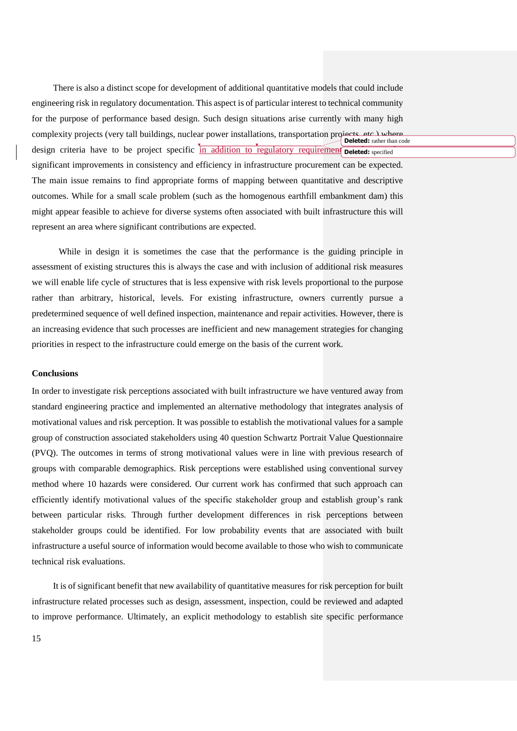There is also a distinct scope for development of additional quantitative models that could include engineering risk in regulatory documentation. This aspect is of particular interest to technical community for the purpose of performance based design. Such design situations arise currently with many high complexity projects (very tall buildings, nuclear power installations, transportation projects, etc.) where design criteria have to be project specific in addition to regulatory requirement **Deleted:** specified significant improvements in consistency and efficiency in infrastructure procurement can be expected. The main issue remains to find appropriate forms of mapping between quantitative and descriptive outcomes. While for a small scale problem (such as the homogenous earthfill embankment dam) this might appear feasible to achieve for diverse systems often associated with built infrastructure this will represent an area where significant contributions are expected. **Deleted:** rather than code

While in design it is sometimes the case that the performance is the guiding principle in assessment of existing structures this is always the case and with inclusion of additional risk measures we will enable life cycle of structures that is less expensive with risk levels proportional to the purpose rather than arbitrary, historical, levels. For existing infrastructure, owners currently pursue a predetermined sequence of well defined inspection, maintenance and repair activities. However, there is an increasing evidence that such processes are inefficient and new management strategies for changing priorities in respect to the infrastructure could emerge on the basis of the current work.

#### **Conclusions**

In order to investigate risk perceptions associated with built infrastructure we have ventured away from standard engineering practice and implemented an alternative methodology that integrates analysis of motivational values and risk perception. It was possible to establish the motivational values for a sample group of construction associated stakeholders using 40 question Schwartz Portrait Value Questionnaire (PVQ). The outcomes in terms of strong motivational values were in line with previous research of groups with comparable demographics. Risk perceptions were established using conventional survey method where 10 hazards were considered. Our current work has confirmed that such approach can efficiently identify motivational values of the specific stakeholder group and establish group's rank between particular risks. Through further development differences in risk perceptions between stakeholder groups could be identified. For low probability events that are associated with built infrastructure a useful source of information would become available to those who wish to communicate technical risk evaluations.

It is of significant benefit that new availability of quantitative measures for risk perception for built infrastructure related processes such as design, assessment, inspection, could be reviewed and adapted to improve performance. Ultimately, an explicit methodology to establish site specific performance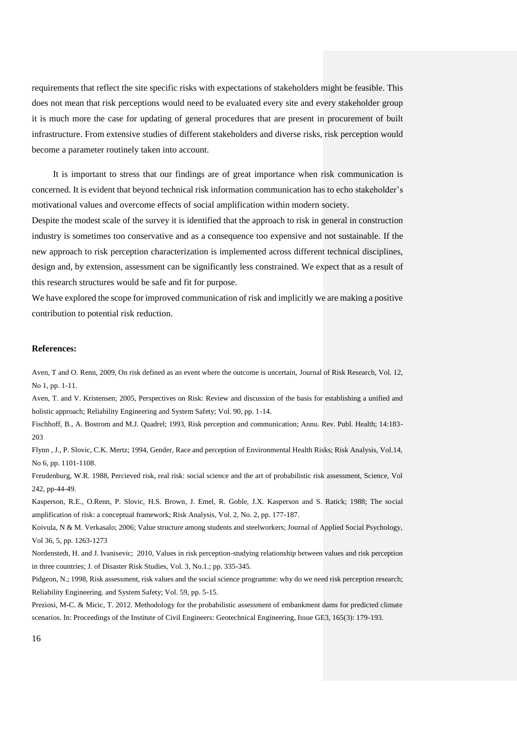requirements that reflect the site specific risks with expectations of stakeholders might be feasible. This does not mean that risk perceptions would need to be evaluated every site and every stakeholder group it is much more the case for updating of general procedures that are present in procurement of built infrastructure. From extensive studies of different stakeholders and diverse risks, risk perception would become a parameter routinely taken into account.

It is important to stress that our findings are of great importance when risk communication is concerned. It is evident that beyond technical risk information communication has to echo stakeholder's motivational values and overcome effects of social amplification within modern society.

Despite the modest scale of the survey it is identified that the approach to risk in general in construction industry is sometimes too conservative and as a consequence too expensive and not sustainable. If the new approach to risk perception characterization is implemented across different technical disciplines, design and, by extension, assessment can be significantly less constrained. We expect that as a result of this research structures would be safe and fit for purpose.

We have explored the scope for improved communication of risk and implicitly we are making a positive contribution to potential risk reduction.

#### **References:**

Aven, T and O. Renn, 2009, On risk defined as an event where the outcome is uncertain, Journal of Risk Research, Vol. 12, No 1, pp. 1-11.

Aven, T. and V. Kristensen; 2005, Perspectives on Risk: Review and discussion of the basis for establishing a unified and holistic approach; Reliability Engineering and System Safety; Vol. 90, pp. 1-14.

Fischhoff, B., A. Bostrom and M.J. Quadrel; 1993, Risk perception and communication; Annu. Rev. Publ. Health; 14:183- 203

Flynn , J., P. Slovic, C.K. Mertz; 1994, Gender, Race and perception of Environmental Health Risks; Risk Analysis, Vol.14, No 6, pp. 1101-1108.

Freudenburg, W.R. 1988, Percieved risk, real risk: social science and the art of probabilistic risk assessment, Science, Vol 242, pp-44-49.

Kasperson, R.E., O.Renn, P. Slovic, H.S. Brown, J. Emel, R. Goble, J.X. Kasperson and S. Ratick; 1988; The social amplification of risk: a conceptual framework; Risk Analysis, Vol. 2, No. 2, pp. 177-187.

Koivula, N & M. Verkasalo; 2006; Value structure among students and steelworkers; Journal of Applied Social Psychology, Vol 36, 5, pp. 1263-1273

Nordenstedt, H. and J. Ivanisevic; 2010, Values in risk perception-studying relationship between values and risk perception in three countries; J. of Disaster Risk Studies, Vol. 3, No.1.; pp. 335-345.

Pidgeon, N.; 1998, Risk assessment, risk values and the social science programme: why do we need risk perception research; Reliability Engineering. and System Safety; Vol. 59, pp. 5-15.

Preziosi, M-C. & Micic, T. 2012. Methodology for the probabilistic assessment of embankment dams for predicted climate scenarios. In: Proceedings of the Institute of Civil Engineers: Geotechnical Engineering, Issue GE3, 165(3): 179-193.